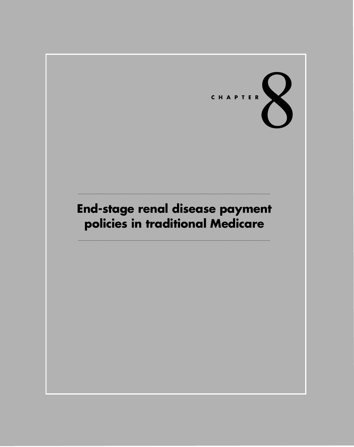

# **End-stage renal disease payment policies in traditional Medicare**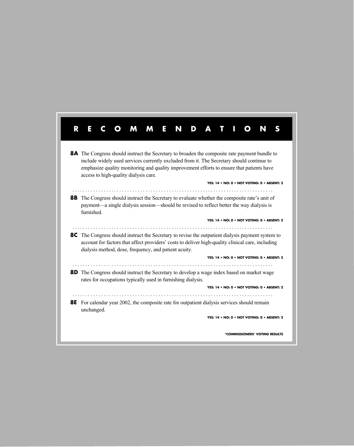| R | E<br>M                                                                                                                                                                                                                                                                                                                                                                                 |  |
|---|----------------------------------------------------------------------------------------------------------------------------------------------------------------------------------------------------------------------------------------------------------------------------------------------------------------------------------------------------------------------------------------|--|
|   | <b>8A</b> The Congress should instruct the Secretary to broaden the composite rate payment bundle to<br>include widely used services currently excluded from it. The Secretary should continue to<br>emphasize quality monitoring and quality improvement efforts to ensure that patients have<br>access to high-quality dialysis care.<br>YES: 14 . NO: 0 . NOT VOTING: 0 . ABSENT: 2 |  |
|   | <b>8B</b> The Congress should instruct the Secretary to evaluate whether the composite rate's unit of<br>payment—a single dialysis session—should be revised to reflect better the way dialysis is<br>furnished.                                                                                                                                                                       |  |
|   | YES: 14 • NO: 0 • NOT VOTING: 0 • ABSENT: 2                                                                                                                                                                                                                                                                                                                                            |  |
|   | <b>8C</b> The Congress should instruct the Secretary to revise the outpatient dialysis payment system to<br>account for factors that affect providers' costs to deliver high-quality clinical care, including<br>dialysis method, dose, frequency, and patient acuity.                                                                                                                 |  |
|   | YES: 14 . NO: 0 . NOT VOTING: 0 . ABSENT: 2                                                                                                                                                                                                                                                                                                                                            |  |
|   | <b>8D</b> The Congress should instruct the Secretary to develop a wage index based on market wage<br>rates for occupations typically used in furnishing dialysis.                                                                                                                                                                                                                      |  |
|   | YES: 14 • NO: 0 • NOT VOTING: 0 • ABSENT: 2                                                                                                                                                                                                                                                                                                                                            |  |
|   | .<br><b>8E</b> For calendar year 2002, the composite rate for outpatient dialysis services should remain<br>unchanged.                                                                                                                                                                                                                                                                 |  |
|   | YES: 14 . NO: 0 . NOT VOTING: 0 . ABSENT: 2                                                                                                                                                                                                                                                                                                                                            |  |
|   | *COMMISSIONERS' VOTING RESULTS                                                                                                                                                                                                                                                                                                                                                         |  |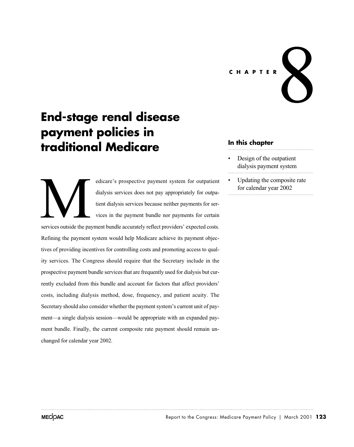# **CHAPTER** 8

# **End-stage renal disease payment policies in traditional Medicare**

edicare's prospective payment system for outpatient dialysis services does not pay appropriately for outpatient dialysis services because neither payments for services in the payment bundle nor payments for certain services outside the payment bundle accurately reflect providers' expected costs. Refining the payment system would help Medicare achieve its payment objectives of providing incentives for controlling costs and promoting access to quality services. The Congress should require that the Secretary include in the prospective payment bundle services that are frequently used for dialysis but currently excluded from this bundle and account for factors that affect providers' costs, including dialysis method, dose, frequency, and patient acuity. The Secretary should also consider whether the payment system's current unit of payment—a single dialysis session—would be appropriate with an expanded payment bundle. Finally, the current composite rate payment should remain unchanged for calendar year 2002. Services outside the page

## **In this chapter**

- Design of the outpatient dialysis payment system
- Updating the composite rate for calendar year 2002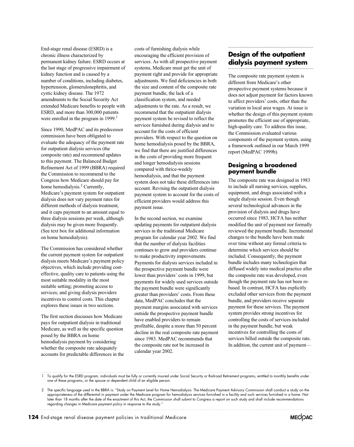End-stage renal disease (ESRD) is a chronic illness characterized by permanent kidney failure. ESRD occurs at the last stage of progressive impairment of kidney function and is caused by a number of conditions, including diabetes, hypertension, glomerulonephritis, and cystic kidney disease. The 1972 amendments to the Social Security Act extended Medicare benefits to people with ESRD, and more than 300,000 patients were enrolled in the program in  $1999$ .<sup>1</sup>

Since 1990, MedPAC and its predecessor commission have been obligated to evaluate the adequacy of the payment rate for outpatient dialysis services (the composite rate) and recommend updates to this payment. The Balanced Budget the Commission to recommend to the Congress how Medicare should pay for home hemodialysis.<sup>2</sup> Currently, Medicare's payment system for outpatient dialysis does not vary payment rates for different methods of dialysis treatment, and it caps payment to an amount equal to three dialysis sessions per week, although dialysis may be given more frequently. (See text box for additional information on home hemodialysis). Refinement Act of 1999 (BBRA) required

The Commission has considered whether the current payment system for outpatient dialysis meets Medicare's payment policy objectives, which include providing costeffective, quality care to patients using the most suitable modality in the most suitable setting; promoting access to services; and giving dialysis providers incentives to control costs. This chapter explores these issues in two sections.

The first section discusses how Medicare pays for outpatient dialysis in traditional Medicare, as well as the specific question posed by the BBRA on home hemodialysis payment by considering whether the composite rate adequately accounts for predictable differences in the

costs of furnishing dialysis while encouraging the efficient provision of services. As with all prospective payment systems, Medicare must get the unit of payment right and provide for appropriate adjustments. We find deficiencies in both the size and content of the composite rate payment bundle, the lack of a classification system, and needed adjustments to the rate. As a result, we recommend that the outpatient dialysis payment system be revised to reflect the services furnished during dialysis and to account for the costs of efficient providers. With respect to the question on home hemodialysis posed by the BBRA, we find that there are justified differences in the costs of providing more frequent and longer hemodialysis sessions compared with thrice-weekly hemodialysis, and that the payment system does not take these differences into account. Revising the outpatient dialysis payment system to account for the costs of efficient providers would address this payment issue.

In the second section, we examine updating payments for outpatient dialysis services in the traditional Medicare program for calendar year 2002. We find that the number of dialysis facilities continues to grow and providers continue to make productivity improvements. Payments for dialysis services included in the prospective payment bundle were lower than providers' costs in 1999, but payments for widely used services outside the payment bundle were significantly greater than providers' costs. From these data, MedPAC concludes that the payment margins associated with services outside the prospective payment bundle have enabled providers to remain profitable, despite a more than 50 percent decline in the real composite rate payment since 1983. MedPAC recommends that the composite rate not be increased in calendar year 2002.

## **Design of the outpatient dialysis payment system**

The composite rate payment system is different from Medicare's other prospective payment systems because it does not adjust payment for factors known to affect providers' costs, other than the variation in local area wages. At issue is whether the design of this payment system promotes the efficient use of appropriate, high-quality care. To address this issue, the Commission evaluated various components of the payment system, using a framework outlined in our March 1999 report (MedPAC 1999b).

#### **Designing a broadened payment bundle**

The composite rate was designed in 1983 to include all nursing services, supplies, equipment, and drugs associated with a single dialysis session. Even though several technological advances in the provision of dialysis and drugs have occurred since 1983, HCFA has neither modified the unit of payment nor formally reviewed the payment bundle. Incremental changes to the bundle have been made over time without any formal criteria to determine which services should be included. Consequently, the payment bundle includes many technologies that diffused widely into medical practice after the composite rate was developed, even though the payment rate has not been rebased. In contrast, HCFA has explicitly excluded other services from the payment bundle, and providers receive separate payment for these services. The payment system provides strong incentives for controlling the costs of services included in the payment bundle, but weak incentives for controlling the costs of services billed outside the composite rate. In addition, the current unit of payment—

1 To qualify for the ESRD program, individuals must be fully or currently insured under Social Security or Railroad Retirement programs, entitled to monthly benefits under one of these programs, or the spouse or dependent child of an eligible person.



<sup>2</sup> The specific language used in the BBRA is: "Study on Payment Level for Home Hemodialysis: The Medicare Payment Advisory Commission shall conduct a study on the appropriateness of the differential in payment under the Medicare program for hemodialysis services furnished in a facility and such services furnished in a home. Not later than 18 months after the date of the enactment of this Act, the Commission shall submit to Congress a report on such study and shall include recommendations regarding changes in Medicare payment policy in response to the study."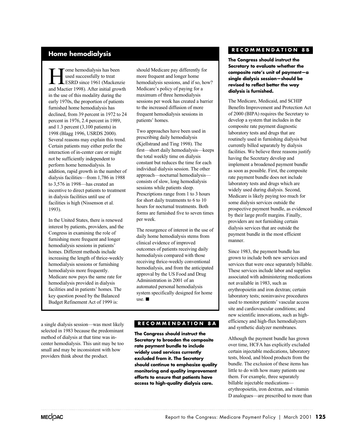# **Home hemodialysis**

Tome hemodialysis has been<br>used successfully to treat<br>ESRD since 1961 (Macken<br>and Mactier 1998) After initial group used successfully to treat ESRD since 1961 (Mackenzie and Mactier 1998). After initial growth in the use of this modality during the early 1970s, the proportion of patients furnished home hemodialysis has declined, from 39 percent in 1972 to 24 percent in 1976, 2.4 percent in 1989, and 1.3 percent (3,100 patients) in 1998 (Blagg 1996, USRDS 2000). Several reasons may explain this trend. Certain patients may either prefer the interaction of in-center care or might not be sufficiently independent to perform home hemodialysis. In addition, rapid growth in the number of dialysis facilities—from 1,786 in 1988 to 3,576 in 1998—has created an incentive to direct patients to treatment in dialysis facilities until use of facilities is high (Nissenson et al. 1993).

In the United States, there is renewed interest by patients, providers, and the Congress in examining the role of furnishing more frequent and longer hemodialysis sessions in patients' homes. Different methods include increasing the length of thrice-weekly hemodialysis sessions or furnishing hemodialysis more frequently. Medicare now pays the same rate for hemodialysis provided in dialysis facilities and in patients' homes. The key question posed by the Balanced Budget Refinement Act of 1999 is:

a single dialysis session—was most likely selected in 1983 because the predominant method of dialysis at that time was incenter hemodialysis. This unit may be too small and may be inconsistent with how providers think about the product.

should Medicare pay differently for more frequent and longer home hemodialysis sessions, and if so, how? Medicare's policy of paying for a maximum of three hemodialysis sessions per week has created a barrier to the increased diffusion of more frequent hemodialysis sessions in patients' homes.

Two approaches have been used in prescribing daily hemodialysis (Kjellstrand and Ting 1998). The first—short daily hemodialysis—keeps the total weekly time on dialysis constant but reduces the time for each individual dialysis session. The other approach—nocturnal hemodialysis consists of slow, long hemodialysis sessions while patients sleep. Prescriptions range from 1 to 3 hours for short daily treatments to 6 to 10 hours for nocturnal treatments. Both forms are furnished five to seven times per week.

The resurgence of interest in the use of daily home hemodialysis stems from clinical evidence of improved outcomes of patients receiving daily hemodialysis compared with those receiving thrice-weekly conventional hemodialysis, and from the anticipated approval by the US Food and Drug Administration in 2001 of an automated personal hemodialysis system specifically designed for home use.  $\blacksquare$ 

#### **RECOMMENDATION 8A**

**The Congress should instruct the Secretary to broaden the composite rate payment bundle to include widely used services currently excluded from it. The Secretary should continue to emphasize quality monitoring and quality improvement efforts to ensure that patients have access to high-quality dialysis care.**

#### **RECOMMENDATION 8B**

**The Congress should instruct the Secretary to evaluate whether the composite rate's unit of payment—a single dialysis session—should be revised to reflect better the way dialysis is furnished.**

The Medicare, Medicaid, and SCHIP Benefits Improvement and Protection Act develop a system that includes in the composite rate payment diagnostic laboratory tests and drugs that are routinely used in furnishing dialysis but currently billed separately by dialysis facilities. We believe three reasons justify having the Secretary develop and implement a broadened payment bundle as soon as possible. First, the composite rate payment bundle does not include laboratory tests and drugs which are widely used during dialysis. Second, Medicare is likely paying too much for some dialysis services outside the prospective payment bundle, as evidenced by their large profit margins. Finally, providers are not furnishing certain dialysis services that are outside the payment bundle in the most efficient manner. of 2000 (BIPA) requires the Secretary to

Since 1983, the payment bundle has grown to include both new services and services that were once separately billable. These services include labor and supplies associated with administering medications not available in 1983, such as erythropoietin and iron dextran; certain laboratory tests; noninvasive procedures used to monitor patients' vascular access site and cardiovascular conditions; and new scientific innovations, such as highefficiency and high-flux hemodialyzers and synthetic dialyzer membranes.

Although the payment bundle has grown over time, HCFA has explicitly excluded certain injectable medications, laboratory tests, blood, and blood products from the bundle. The exclusion of these items has little to do with how many patients use them. For example, three separately billable injectable medications erythropoietin, iron dextran, and vitamin D analogues—are prescribed to more than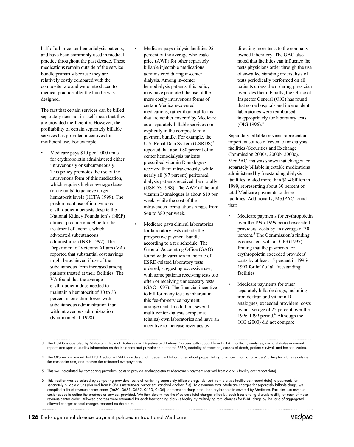half of all in-center hemodialysis patients, and have been commonly used in medical practice throughout the past decade. These medications remain outside of the service bundle primarily because they are relatively costly compared with the composite rate and were introduced to medical practice after the bundle was designed.

The fact that certain services can be billed separately does not in itself mean that they are provided inefficiently. However, the profitability of certain separately billable services has provided incentives for inefficient use. For example:

- Medicare pays \$10 per 1,000 units for erythropoietin administered either intravenously or subcutaneously. This policy promotes the use of the intravenous form of this medication, which requires higher average doses (more units) to achieve target hematocrit levels (HCFA 1999). The predominant use of intravenous erythropoietin persists despite the National Kidney Foundation's (NKF) clinical practice guideline for the treatment of anemia, which advocated subcutaneous administration (NKF 1997). The Department of Veterans Affairs (VA) reported that substantial cost savings might be achieved if use of the subcutaneous form increased among patients treated at their facilities. The VA found that the average erythropoietin dose needed to maintain a hematocrit of 30 to 33 percent is one-third lower with subcutaneous administration than with intravenous administration (Kaufman et al. 1998).
- Medicare pays dialysis facilities 95 percent of the average wholesale price (AWP) for other separately billable injectable medications administered during in-center dialysis. Among in-center hemodialysis patients, this policy may have promoted the use of the more costly intravenous forms of certain Medicare-covered medications, rather than oral forms that are neither covered by Medicare as a separately billable services nor explicitly in the composite rate payment bundle. For example, the U.S. Renal Data System (USRDS)<sup>3</sup> reported that about 80 percent of incenter hemodialysis patients prescribed vitamin D analogues received them intravenously, while nearly all (97 percent) peritoneal dialysis patients received them orally (USRDS 1998). The AWP of the oral vitamin D analogues is about \$10 per week, while the cost of the intravenous formulations ranges from \$40 to \$80 per week.
- Medicare pays clinical laboratories for laboratory tests outside the prospective payment bundle according to a fee schedule. The General Accounting Office (GAO) found wide variation in the rate of ESRD-related laboratory tests ordered, suggesting excessive use, with some patients receiving tests too often or receiving unnecessary tests (GAO 1997). The financial incentive to bill for many tests is inherent in this fee-for-service payment arrangement. In addition, several multi-center dialysis companies (chains) own laboratories and have an incentive to increase revenues by

directing more tests to the companyowned laboratory. The GAO also noted that facilities can influence the tests physicians order through the use of so-called standing orders, lists of tests periodically performed on all patients unless the ordering physician overrides them. Finally, the Office of Inspector General (OIG) has found that some hospitals and independent laboratories were reimbursed inappropriately for laboratory tests (OIG 1996).4

Separately billable services represent an important source of revenue for dialysis facilities (Securities and Exchange Commission 2000a, 2000b, 2000c). MedPAC analysis shows that charges for separately billable injectable medications administered by freestanding dialysis facilities totaled more than \$1.4 billion in 1999, representing about 30 percent of total Medicare payments to these facilities. Additionally, MedPAC found that:

- Medicare payments for erythropoietin over the 1996-1999 period exceeded providers' costs by an average of 30 percent.5 The Commission's finding is consistent with an OIG (1997) finding that the payments for erythropoietin exceeded providers' costs by at least 15 percent in 1996- 1997 for half of all freestanding facilities.
- Medicare payments for other separately billable drugs, including iron dextran and vitamin D analogues, exceeded providers' costs by an average of 25 percent over the 1996-1999 period. $6$  Although the OIG (2000) did not compare

3 The USRDS is operated by National Institute of Diabetes and Digestive and Kidney Diseases with support from HCFA. It collects, analyzes, and distributes in annual reports and special studies information on the incidence and prevalence of treated ESRD, modality of treatment, causes of death, patient survival, and hospitalization.

4 The OIG recommended that HCFA educate ESRD providers and independent laboratories about proper billing practices, monitor providers' billing for lab tests outside the composite rate, and recover the estimated overpayments.

5 This was calculated by comparing providers' costs to provide erythropoietin to Medicare's payment (derived from dialysis facility cost report data).

6 This fraction was calculated by comparing providers' costs of furnishing separately billable drugs (derived from dialysis facility cost report data) to payments for separately billable drugs (derived from HCFA's institutional outpatient standard analytic file). To determine total Medicare charges for separately billable drugs, we compiled a list of revenue center codes (0630, 0631, 0632, 0633, 0636) representing drugs other than erythropoietin covered by Medicare. Facilities use revenue center codes to define the products or services provided. We then determined the Medicare total charges billed by each freestanding dialysis facility for each of these revenue center codes. Allowed charges were estimated for each freestanding dialysis facility by multiplying total charges for ESRD drugs by the ratio of aggregated allowed charges to total charges reported on the claim.

**MECOAC**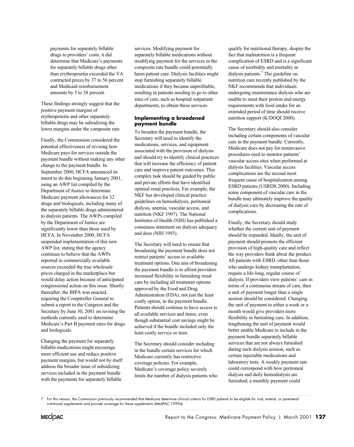payments for separately billable drugs to providers' costs, it did determine that Medicare's payments for separately billable drugs other than erythropoietin exceeded the VA contracted prices by 37 to 56 percent and Medicaid reimbursement amounts by 5 to 38 percent.

These findings strongly suggest that the positive payment margins of erythropoietin and other separately billable drugs may be subsidizing the lower margins under the composite rate.

Finally, the Commission considered the potential effectiveness of revising how Medicare pays for services outside the payment bundle without making any other change to the payment bundle. In September 2000, HCFA announced its intent to do this beginning January 2001, using an AWP list compiled by the Department of Justice to determine Medicare payment allowances for 32 drugs and biologicals, including many of the separately billable drugs administered to dialysis patients. The AWPs compiled by the Department of Justice are significantly lower than those used by HCFA. In November 2000, HCFA suspended implementation of this new AWP list, stating that the agency continues to believe that the AWPs reported in commercially available sources exceeded the true wholesale prices charged in the marketplace but would delay action because of anticipated congressional action on this issue. Shortly thereafter, the BIPA was enacted, requiring the Comptroller General to submit a report to the Congress and the Secretary by June 30, 2001 on revising the methods currently used to determine Medicare's Part B payment rates for drugs and biologicals.

Changing the payment for separately billable medications might encourage more efficient use and reduce positive payment margins, but would not by itself address the broader issue of subsidizing services included in the payment bundle with the payments for separately billable

services. Modifying payment for separately billable medications without modifying payment for the services in the composite rate bundle could potentially harm patient care. Dialysis facilities might stop furnishing separately billable medications if they became unprofitable, resulting in patients needing to go to other sites of care, such as hospital outpatient departments, to obtain these services.

#### **Implementing a broadened payment bundle**

To broaden the payment bundle, the Secretary will need to identify the medications, services, and equipment associated with the provision of dialysis and should try to identify clinical practices that will increase the efficiency of patient care and improve patient outcomes. This complex task should be guided by public and private efforts that have identified optimal renal practices. For example, the NKF has developed clinical practice guidelines on hemodialysis, peritoneal dialysis, anemia, vascular access, and nutrition (NKF 1997). The National Institutes of Health (NIH) has published a consensus statement on dialysis adequacy and dose (NIH 1993).

The Secretary will need to ensure that broadening the payment bundle does not restrict patients' access to available treatment options. One aim of broadening the payment bundle is to afford providers increased flexibility in furnishing renal care by including all treatment options approved by the Food and Drug Administration (FDA), not just the least costly option, in the payment bundle. Patients should continue to have access to all available services and items, even though substantial cost savings might be achieved if the bundle included only the least costly service or item.

The Secretary should consider including in the bundle certain services for which Medicare currently has restrictive coverage policies. For example, Medicare's coverage policy severely limits the number of dialysis patients who

qualify for nutritional therapy, despite the fact that malnutrition is a frequent complication of ESRD and is a significant cause of morbidity and mortality in dialysis patients.7 The guideline on nutrition care recently published by the NKF recommends that individuals undergoing maintenance dialysis who are unable to meet their protein and energy requirements with food intake for an extended period of time should receive nutrition support (K/DOQI 2000).

The Secretary should also consider including certain components of vascular care in the payment bundle. Currently, Medicare does not pay for noninvasive procedures used to monitor patients' vascular access sites when performed at dialysis facilities. Vascular access complications are the second most frequent cause of hospitalization among ESRD patients (USRDS 2000). Including some component of vascular care in the bundle may ultimately improve the quality of dialysis care by decreasing the rate of complications.

Finally, the Secretary should study whether the current unit of payment should be expanded. Ideally, the unit of payment should promote the efficient provision of high-quality care and reflect the way providers think about the product. All patients with ESRD, other than those who undergo kidney transplantation, require a life-long, regular course of dialysis. If providers view patients' care in terms of a continuous stream of care, then a unit of payment longer than a single session should be considered. Changing the unit of payment to either a week or a month would give providers more flexibility in furnishing care. In addition, lengthening the unit of payment would better enable Medicare to include in the payment bundle separately billable services that are not always furnished during each dialysis session, such as certain injectable medications and laboratory tests. A weekly payment rate could correspond with how peritoneal dialysis and daily hemodialysis are furnished; a monthly payment could

<sup>7</sup> For this reason, the Commission previously recommended that Medicare determine clinical criteria for ESRD patients to be eligible for oral, enteral, or parenteral nutritional supplements and provide coverage for these supplements (MedPAC 1999a).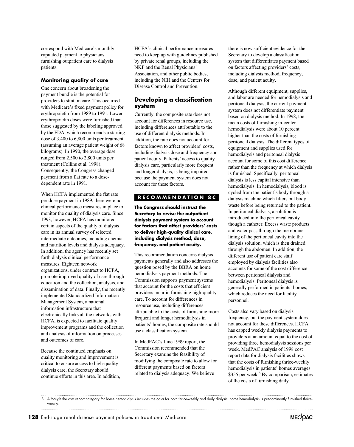correspond with Medicare's monthly capitated payment to physicians furnishing outpatient care to dialysis patients.

#### **Monitoring quality of care**

One concern about broadening the payment bundle is the potential for providers to stint on care. This occurred with Medicare's fixed payment policy for erythropoietin from 1989 to 1991. Lower erythropoietin doses were furnished than those suggested by the labeling approved by the FDA, which recommends a starting dose of 3,400 to 6,800 units per treatment (assuming an average patient weight of 68 kilograms). In 1990, the average dose ranged from 2,500 to 2,800 units per treatment (Collins et al. 1998). Consequently, the Congress changed payment from a flat rate to a dosedependent rate in 1991.

When HCFA implemented the flat rate per dose payment in 1989, there were no clinical performance measures in place to monitor the quality of dialysis care. Since 1993, however, HCFA has monitored certain aspects of the quality of dialysis care in its annual survey of selected intermediate outcomes, including anemia and nutrition levels and dialysis adequacy. In addition, the agency has recently set forth dialysis clinical performance measures. Eighteen network organizations, under contract to HCFA, promote improved quality of care through education and the collection, analysis, and dissemination of data. Finally, the recently implemented Standardized Information Management System, a national information infrastructure that electronically links all the networks with HCFA, is expected to facilitate quality improvement programs and the collection and analysis of information on processes and outcomes of care.

Because the continued emphasis on quality monitoring and improvement is critical to ensure access to high-quality dialysis care, the Secretary should continue efforts in this area. In addition, HCFA's clinical performance measures need to keep up with guidelines published by private renal groups, including the NKF and the Renal Physicians' Association, and other public bodies, including the NIH and the Centers for Disease Control and Prevention.

#### **Developing a classification system**

Currently, the composite rate does not account for differences in resource use, including differences attributable to the use of different dialysis methods. In addition, the rate does not account for factors known to affect providers' costs, including dialysis dose and frequency and patient acuity. Patients' access to quality dialysis care, particularly more frequent and longer dialysis, is being impaired because the payment system does not account for these factors.

#### **RECOMMENDATION 8C**

**The Congress should instruct the Secretary to revise the outpatient dialysis payment system to account for factors that affect providers' costs to deliver high-quality clinical care, including dialysis method, dose, frequency, and patient acuity.**

This recommendation concerns dialysis payments generally and also addresses the question posed by the BBRA on home hemodialysis payment methods. The Commission supports payment systems that account for the costs that efficient providers incur in furnishing high-quality care. To account for differences in resource use, including differences attributable to the costs of furnishing more frequent and longer hemodialysis in patients' homes, the composite rate should use a classification system.

In MedPAC's June 1999 report, the Commission recommended that the Secretary examine the feasibility of modifying the composite rate to allow for different payments based on factors related to dialysis adequacy. We believe

there is now sufficient evidence for the Secretary to develop a classification system that differentiates payment based on factors affecting providers' costs, including dialysis method, frequency, dose, and patient acuity.

Although different equipment, supplies, and labor are needed for hemodialysis and peritoneal dialysis, the current payment system does not differentiate payment based on dialysis method. In 1998, the mean costs of furnishing in-center hemodialysis were about 10 percent higher than the costs of furnishing peritoneal dialysis. The different types of equipment and supplies used for hemodialysis and peritoneal dialysis account for some of this cost difference rather than the frequency at which dialysis is furnished. Specifically, peritoneal dialysis is less capital intensive than hemodialysis. In hemodialysis, blood is cycled from the patient's body through a dialysis machine which filters out body waste before being returned to the patient. In peritoneal dialysis, a solution is introduced into the peritoneal cavity though a catheter. Excess waste products and water pass through the membrane lining of the peritoneal cavity into the dialysis solution, which is then drained through the abdomen. In addition, the different use of patient care staff employed by dialysis facilities also accounts for some of the cost difference between peritoneal dialysis and hemodialysis. Peritoneal dialysis is generally performed in patients' homes, which reduces the need for facility personnel.

Costs also vary based on dialysis frequency, but the payment system does not account for these differences. HCFA has capped weekly dialysis payments to providers at an amount equal to the cost of providing three hemodialysis sessions per week. MedPAC analysis of 1998 cost report data for dialysis facilities shows that the costs of furnishing thrice-weekly hemodialysis in patients' homes averages \$355 per week.<sup>8</sup> By comparison, estimates of the costs of furnishing daily



<sup>8</sup> Although the cost report category for home hemodialysis includes the costs for both thrice-weekly and daily dialysis, home hemodialysis is predominantly furnished thriceweekly.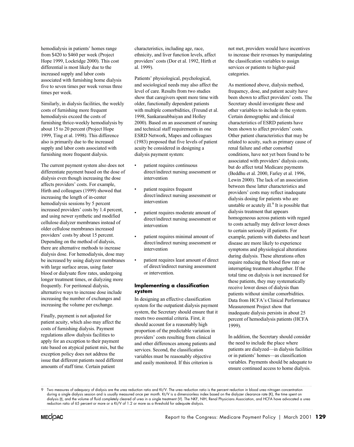hemodialysis in patients' homes range from \$420 to \$460 per week (Project Hope 1999, Lockridge 2000). This cost differential is most likely due to the increased supply and labor costs associated with furnishing home dialysis five to seven times per week versus three times per week.

Similarly, in dialysis facilities, the weekly costs of furnishing more frequent hemodialysis exceed the costs of furnishing thrice-weekly hemodialysis by about 15 to 20 percent (Project Hope 1999, Ting et al. 1998). This difference also is primarily due to the increased supply and labor costs associated with furnishing more frequent dialysis.

The current payment system also does not differentiate payment based on the dose of dialysis even though increasing the dose affects providers' costs. For example, Hirth and colleagues (1999) showed that increasing the length of in-center hemodialysis sessions by 5 percent increased providers' costs by 1.4 percent, and using newer synthetic and modified cellulose dialyzer membranes instead of older cellulose membranes increased providers' costs by about 15 percent. Depending on the method of dialysis, there are alternative methods to increase dialysis dose. For hemodialysis, dose may be increased by using dialyzer membranes with large surface areas, using faster blood or dialysate flow rates, undergoing longer treatment times, or dialyzing more frequently. For peritoneal dialysis, alternative ways to increase dose include increasing the number of exchanges and increasing the volume per exchange.

Finally, payment is not adjusted for patient acuity, which also may affect the costs of furnishing dialysis. Payment regulations allow dialysis facilities to apply for an exception to their payment rate based on atypical patient mix, but the exception policy does not address the issue that different patients need different amounts of staff time. Certain patient

characteristics, including age, race, ethnicity, and liver function levels, affect providers' costs (Dor et al. 1992, Hirth et al. 1999).

Patients' physiological, psychological, and sociological needs may also affect the level of care. Results from two studies show that caregivers spent more time with older, functionally dependent patients with multiple comorbidities, (Freund et al. 1998, Sankarasubbaiyan and Holley 2000). Based on an assessment of nursing and technical staff requirements in one ESRD Network, Mapes and colleagues (1983) proposed that five levels of patient acuity be considered in designing a dialysis payment system:

- patient requires continuous direct/indirect nursing assessment or intervention
- patient requires frequent direct/indirect nursing assessment or intervention
- patient requires moderate amount of direct/indirect nursing assessment or intervention
- patient requires minimal amount of direct/indirect nursing assessment or intervention
- patient requires least amount of direct of direct/indirect nursing assessment or intervention.

#### **Implementing a classification system**

In designing an effective classification system for the outpatient dialysis payment system, the Secretary should ensure that it meets two essential criteria. First, it should account for a reasonably high proportion of the predictable variation in providers' costs resulting from clinical and other differences among patients and services. Second, the classification variables must be reasonably objective and easily monitored. If this criterion is

not met, providers would have incentives to increase their revenues by manipulating the classification variables to assign services or patients to higher-paid categories.

As mentioned above, dialysis method, frequency, dose, and patient acuity have been shown to affect providers' costs. The Secretary should investigate these and other variables to include in the system. Certain demographic and clinical characteristics of ESRD patients have been shown to affect providers' costs. Other patient characteristics that may be related to acuity, such as primary cause of renal failure and other comorbid conditions, have not yet been found to be associated with providers' dialysis costs, but do affect total Medicare payments (Beddhu et al. 2000, Farley et al. 1996, Lewin 2000). The lack of an association between these latter characteristics and providers' costs may reflect inadequate dialysis dosing for patients who are unstable or acutely ill. $9$  It is possible that dialysis treatment that appears homogeneous across patients with regard to costs actually may deliver lower doses to certain seriously ill patients. For example, patients with diabetes and heart disease are more likely to experience symptoms and physiological alterations during dialysis. These alterations often require reducing the blood flow rate or interrupting treatment altogether. If the total time on dialysis is not increased for these patients, they may systematically receive lower doses of dialysis than patients without similar comorbidities. Data from HCFA's Clinical Performance Measurement Project show that inadequate dialysis persists in about 25 percent of hemodialysis patients (HCFA 1999).

In addition, the Secretary should consider the need to include the place where patients are dialyzed—in dialysis facilities or in patients' homes—as classification variables. Payments should be adequate to ensure continued access to home dialysis.

Two measures of adequacy of dialysis are the urea reduction ratio and Kt/V. The urea reduction ratio is the percent reduction in blood urea nitrogen concentration during a single dialysis session and is usually measured once per month. Kt/V is a dimensionless index based on the dialyzer clearance rate (K), the time spent on dialysis (t), and the volume of fluid completely cleared of urea in a single treatment (V). The NKF, NIH, Renal Physicians Association, and HCFA have advocated a urea reduction ratio of 65 percent or more or a Kt/V of 1.2 or more as a threshold for adequate dialysis.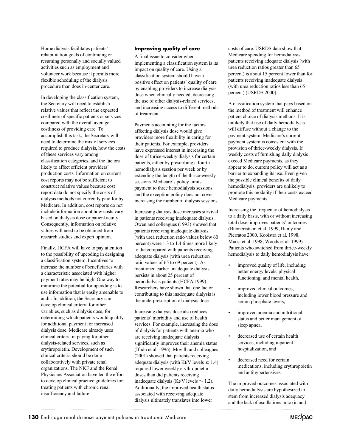Home dialysis facilitates patients' rehabilitation goals of continuing or resuming personally and socially valued activities such as employment and volunteer work because it permits more flexible scheduling of the dialysis procedure than does in-center care.

In developing the classification system, the Secretary will need to establish relative values that reflect the expected costliness of specific patients or services compared with the overall average costliness of providing care. To accomplish this task, the Secretary will need to determine the mix of services required to produce dialysis, how the costs of these services vary among classification categories, and the factors likely to affect efficient providers' production costs. Information on current cost reports may not be sufficient to construct relative values because cost report data do not specify the costs of dialysis methods not currently paid for by Medicare. In addition, cost reports do not include information about how costs vary based on dialysis dose or patient acuity. Consequently, information on relative values will need to be obtained from research studies and expert opinion.

Finally, HCFA will have to pay attention to the possibility of upcoding in designing a classification system. Incentives to increase the number of beneficiaries with a characteristic associated with higher payment rates may be high. One way to minimize the potential for upcoding is to use information that is easily amenable to audit. In addition, the Secretary can develop clinical criteria for other variables, such as dialysis dose, for determining which patients would qualify for additional payment for increased dialysis dose. Medicare already uses clinical criteria in paying for other dialysis-related services, such as erythropoietin. Development of such clinical criteria should be done collaboratively with private renal organizations. The NKF and the Renal Physicians Association have led the effort to develop clinical practice guidelines for treating patients with chronic renal insufficiency and failure.

#### **Improving quality of care**

A final issue to consider when implementing a classification system is its impact on quality of care. Using a classification system should have a positive effect on patients' quality of care by enabling providers to increase dialysis dose when clinically needed, decreasing the use of other dialysis-related services, and increasing access to different methods of treatment.

Payments accounting for the factors affecting dialysis dose would give providers more flexibility in caring for their patients. For example, providers have expressed interest in increasing the dose of thrice-weekly dialysis for certain patients, either by prescribing a fourth hemodialysis session per week or by extending the length of the thrice-weekly sessions. Medicare's policy limits payment to three hemodialysis sessions and the exception policy does not cover increasing the number of dialysis sessions.

Increasing dialysis dose increases survival in patients receiving inadequate dialysis. Owen and colleagues (1993) showed that patients receiving inadequate dialysis (with urea reduction ratio values below 60 percent) were 1.3 to 1.4 times more likely to die compared with patients receiving adequate dialysis (with urea reduction ratio values of 65 to 69 percent). As mentioned earlier, inadequate dialysis persists in about 25 percent of hemodialysis patients (HCFA 1999). Researchers have shown that one factor contributing to this inadequate dialysis is the underprescription of dialysis dose.

Increasing dialysis dose also reduces patients' morbidity and use of health services. For example, increasing the dose of dialysis for patients with anemia who are receiving inadequate dialysis significantly improves their anemia status (Ifudu et al. 1996). Movilli and colleagues (2001) showed that patients receiving adequate dialysis (with Kt/V levels  $\geq 1.4$ ) required lower weekly erythropoietin doses than did patients receiving inadequate dialysis (Kt/V levels  $\leq$  1.2). Additionally, the improved health status associated with receiving adequate dialysis ultimately translates into lower

costs of care. USRDS data show that Medicare spending for hemodialysis patients receiving adequate dialysis (with urea reduction ratios greater than 65 percent) is about 15 percent lower than for patients receiving inadequate dialysis (with urea reduction ratios less than 65 percent) (USRDS 2000).

A classification system that pays based on the method of treatment will enhance patient choice of dialysis methods. It is unlikely that use of daily hemodialysis will diffuse without a change to the payment system. Medicare's current payment system is consistent with the provision of thrice-weekly dialysis. If weekly costs of furnishing daily dialysis exceed Medicare payments, as they appear to do, current policy will act as a barrier to expanding its use. Even given the possible clinical benefits of daily hemodialysis, providers are unlikely to promote this modality if their costs exceed Medicare payments.

Increasing the frequency of hemodialysis to a daily basis, with or without increasing total dose, improves patients' outcomes (Buoncristiani et al. 1999, Hanly and Pierratos 2000, Kooistra et al. 1998, Mucsi et al. 1998, Woods et al. 1999). Patients who switched from thrice-weekly hemodialysis to daily hemodialysis have:

- improved quality of life, including better energy levels, physical functioning, and mental health,
- improved clinical outcomes, including lower blood pressure and serum phosphate levels,
- improved anemia and nutritional status and better management of sleep apnea,
- decreased use of certain health services, including inpatient hospitalization, and
- decreased need for certain medications, including erythropoietin and antihypertensives.

The improved outcomes associated with daily hemodialysis are hypothesized to stem from increased dialysis adequacy and the lack of oscillations in toxin and

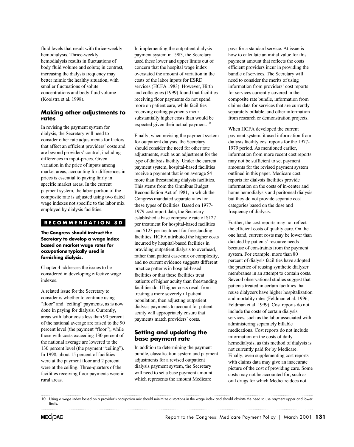fluid levels that result with thrice-weekly hemodialysis. Thrice-weekly hemodialysis results in fluctuations of body fluid volume and solute; in contrast, increasing the dialysis frequency may better mimic the healthy situation, with smaller fluctuations of solute concentrations and body fluid volume (Kooistra et al. 1998).

#### **Making other adjustments to rates**

In revising the payment system for dialysis, the Secretary will need to consider other rate adjustments for factors that affect an efficient providers' costs and are beyond providers' control, including differences in input-prices. Given variation in the price of inputs among market areas, accounting for differences in prices is essential to paying fairly in specific market areas. In the current payment system, the labor portion of the composite rate is adjusted using two dated wage indexes not specific to the labor mix employed by dialysis facilities.

#### **RECOMMENDATION 8D**

**The Congress should instruct the Secretary to develop a wage index based on market wage rates for occupations typically used in furnishing dialysis.**

Chapter 4 addresses the issues to be considered in developing effective wage indexes.

A related issue for the Secretary to consider is whether to continue using "floor" and "ceiling" payments, as is now done in paying for dialysis. Currently, areas with labor costs less than 90 percent of the national average are raised to the 90 percent level (the payment "floor"), while those with costs exceeding 130 percent of the national average are lowered to the 130 percent level (the payment "ceiling"). In 1998, about 15 percent of facilities were at the payment floor and 2 percent were at the ceiling. Three-quarters of the facilities receiving floor payments were in rural areas.

In implementing the outpatient dialysis payment system in 1983, the Secretary used these lower and upper limits out of concern that the hospital wage index overstated the amount of variation in the costs of the labor inputs for ESRD services (HCFA 1983). However, Hirth and colleagues (1999) found that facilities receiving floor payments do not spend more on patient care, while facilities receiving ceiling payments incur substantially higher costs than would be expected given their actual payment.<sup>10</sup>

Finally, when revising the payment system for outpatient dialysis, the Secretary should consider the need for other rate adjustments, such as an adjustment for the type of dialysis facility. Under the current payment system, hospital-based facilities receive a payment that is on average \$4 more than freestanding dialysis facilities. This stems from the Omnibus Budget Reconciliation Act of 1981, in which the Congress mandated separate rates for these types of facilities. Based on 1977- 1979 cost report data, the Secretary established a base composite rate of \$127 per treatment for hospital-based facilities and \$123 per treatment for freestanding facilities. HCFA attributed the higher costs incurred by hospital-based facilities in providing outpatient dialysis to overhead, rather than patient case-mix or complexity, and no current evidence suggests different practice patterns in hospital-based facilities or that these facilities treat patients of higher acuity than freestanding facilities do. If higher costs result from treating a more severely ill patient population, then adjusting outpatient dialysis payments to account for patient acuity will appropriately ensure that payments match providers' costs.

#### **Setting and updating the base payment rate**

In addition to determining the payment bundle, classification system and payment adjustments for a revised outpatient dialysis payment system, the Secretary will need to set a base payment amount, which represents the amount Medicare

pays for a standard service. At issue is how to calculate an initial value for this payment amount that reflects the costs efficient providers incur in providing the bundle of services. The Secretary will need to consider the merits of using information from providers' cost reports for services currently covered in the composite rate bundle, information from claims data for services that are currently separately billable, and other information from research or demonstration projects.

When HCFA developed the current payment system, it used information from dialysis facility cost reports for the 1977- 1979 period. As mentioned earlier, information from more recent cost reports may not be sufficient to set payment amounts for the revised payment system outlined in this paper. Medicare cost reports for dialysis facilities provide information on the costs of in-center and home hemodialysis and peritoneal dialysis but they do not provide separate cost categories based on the dose and frequency of dialysis.

Further, the cost reports may not reflect the efficient costs of quality care. On the one hand, current costs may be lower than dictated by patients' resource needs because of constraints from the payment system. For example, more than 80 percent of dialysis facilities have adopted the practice of reusing synthetic dialyzer membranes in an attempt to contain costs. Several observational studies suggest that patients treated in certain facilities that reuse dialyzers have higher hospitalization and mortality rates (Feldman et al. 1996; Feldman et al. 1999). Cost reports do not include the costs of certain dialysis services, such as the labor associated with administering separately billable medications. Cost reports do not include information on the costs of daily hemodialysis, as this method of dialysis is not currently paid for by Medicare. Finally, even supplementing cost reports with claims data may give an inaccurate picture of the cost of providing care. Some costs may not be accounted for, such as oral drugs for which Medicare does not

<sup>10</sup> Using a wage index based on a provider's occupation mix should minimize distortions in the wage index and should obviate the need to use payment upper and lower limits.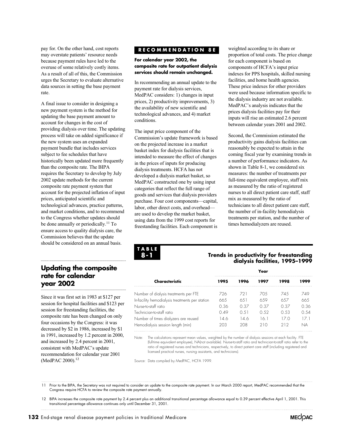pay for. On the other hand, cost reports may overstate patients' resource needs because payment rules have led to the overuse of some relatively costly items. As a result of all of this, the Commission urges the Secretary to evaluate alternative data sources in setting the base payment rate.

A final issue to consider in designing a new payment system is the method for updating the base payment amount to account for changes in the cost of providing dialysis over time. The updating process will take on added significance if the new system uses an expanded payment bundle that includes services subject to fee schedules that have historically been updated more frequently than the composite rate. The BIPA requires the Secretary to develop by July 2002 update methods for the current composite rate payment system that account for the projected inflation of input prices, anticipated scientific and technological advances, practice patterns, and market conditions, and to recommend to the Congress whether updates should be done annually or periodically.<sup>11</sup> To ensure access to quality dialysis care, the Commission believes that the update should be considered on an annual basis.

# **Updating the composite rate for calendar year 2002**

Since it was first set in 1983 at \$127 per session for hospital facilities and \$123 per session for freestanding facilities, the composite rate has been changed on only four occasions by the Congress: it was decreased by \$2 in 1986, increased by \$1 in 1991, increased by 1.2 percent in 2000, and increased by 2.4 percent in 2001, consistent with MedPAC's update recommendation for calendar year 2001 (MedPAC 2000).<sup>12</sup>

#### **RECOMMENDATION 8E**

#### **For calendar year 2002, the composite rate for outpatient dialysis services should remain unchanged.**

In recommending an annual update to the payment rate for dialysis services, MedPAC considers: 1) changes in input prices, 2) productivity improvements, 3) the availability of new scientific and technological advances, and 4) market conditions.

The input price component of the Commission's update framework is based on the projected increase in a market basket index for dialysis facilities that is intended to measure the effect of changes in the prices of inputs for producing dialysis treatments. HCFA has not developed a dialysis market basket, so MedPAC constructed one by using input categories that reflect the full range of goods and services that dialysis providers purchase. Four cost components—capital, labor, other direct costs, and overhead are used to develop the market basket, using data from the 1999 cost reports for freestanding facilities. Each component is weighted according to its share or proportion of total costs. The price change for each component is based on components of HCFA's input price indexes for PPS hospitals, skilled nursing facilities, and home health agencies. These price indexes for other providers were used because information specific to the dialysis industry are not available. MedPAC's analysis indicates that the prices dialysis facilities pay for their inputs will rise an estimated 2.6 percent between calendar years 2001 and 2002.

Second, the Commission estimated the productivity gains dialysis facilities can reasonably be expected to attain in the coming fiscal year by examining trends in a number of performance indicators. As shown in Table 8-1, we considered six measures: the number of treatments per full-time equivalent employee, staff mix as measured by the ratio of registered nurses to all direct patient care staff, staff mix as measured by the ratio of technicians to all direct patient care staff, the number of in-facility hemodialysis treatments per station, and the number of times hemodialyzers are reused.



#### **Trends in productivity for freestanding dialysis facilities, 1995–1999**

|                                                 | Year |      |       |      |      |  |
|-------------------------------------------------|------|------|-------|------|------|--|
| Characteristic                                  | 1995 | 1996 | 1 997 | 1998 | 1999 |  |
| Number of dialysis treatments per FTE           | 726  | 721  | 70.5  | 745  | 749  |  |
| In-facility hemodialysis treatments per station | 665  | 651  | 6.59  | 6.57 | 665  |  |
| Nurse-to-staff ratio                            | 0.36 | 0.37 | 0.37  | 0.37 | 0.36 |  |
| Technician-to-staff ratio                       | 0.49 | 0.51 | 0.52  | 0.53 | 0.54 |  |
| Number of times dialyzers are reused            | 14.6 | 146  | 161   | 17 O | 171  |  |
| Hemodialysis session length (min)               | 203  | 208  | 210   | 212  | NA   |  |

Note: The calculations represent mean values, weighted by the number of dialysis sessions at each facility. FTE ratio of registered nurses and technicians, respectively, to direct patient care staff (including registered and licensed practical nurses, nursing assistants, and technicians). (full-time equivalent employee), NA(not available). Nurse-to-staff ratio and technician-to-staff ratio refer to the

Source: Data compiled by MedPAC, HCFA 1999.

11 Prior to the BIPA, the Secretary was not required to consider an update to the composite rate payment. In our March 2000 report, MedPAC recommended that the Congress require HCFA to review the composite rate payment annually.

12 BIPA increases the composite rate payment by 2.4 percent plus an additional transitional percentage allowance equal to 0.39 percent effective April 1, 2001. This transitional percentage allowance continues only until December 31, 2001. 

**132** End-stage renal disease payment policies in traditional Medicare

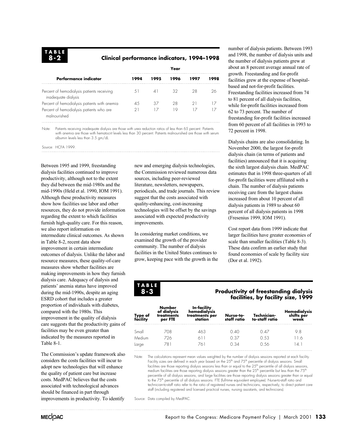#### **Clinical performance indicators, 1994–1998**

|                                                                   | Year |      |      |      |      |  |
|-------------------------------------------------------------------|------|------|------|------|------|--|
| Performance indicator                                             | 1994 | 1995 | 1996 | 1997 | 1998 |  |
| Percent of hemodialysis patients receiving<br>inadequate dialysis | 51   |      | 32   | 28   |      |  |
| Percent of hemodialysis patients with anemia                      | 45   | 37   | 28   |      |      |  |
| Percent of hemodialysis patients who are<br>malnourished          | 21   |      | i Q. |      |      |  |

Note: Patients receiving inadequate dialysis are those with urea reduction ratios of less than 65 percent. Patients with anemia are those with hematocrit levels less than 30 percent. Patients malnourished are those with serum albumin levels less than 3.5 gm/dL.

Source: HCFA 1999.

Between 1995 and 1999, freestanding dialysis facilities continued to improve productivity, although not to the extent they did between the mid-1980s and the mid-1990s (Held et al. 1990, IOM 1991). Although these productivity measures show how facilities use labor and other resources, they do not provide information regarding the extent to which facilities furnish high-quality care. For this reason, we also report information on intermediate clinical outcomes. As shown in Table 8-2, recent data show improvement in certain intermediate outcomes of dialysis. Unlike the labor and resource measures, these quality-of-care measures show whether facilities are making improvements in how they furnish dialysis care. Adequacy of dialysis and patients' anemia status have improved during the mid-1990s, despite an aging ESRD cohort that includes a greater proportion of individuals with diabetes, compared with the 1980s. This improvement in the quality of dialysis care suggests that the productivity gains of facilities may be even greater than indicated by the measures reported in Table 8-1.

The Commission's update framework also considers the costs facilities will incur to adopt new technologies that will enhance the quality of patient care but increase costs. MedPAC believes that the costs associated with technological advances should be financed in part through improvements in productivity. To identify

new and emerging dialysis technologies, the Commission reviewed numerous data literature, newsletters, newspapers, suggest that the costs associated with quality-enhancing, cost-increasing technologies will be offset by the savings associated with expected productivity improvements. sources, including peer-reviewed periodicals, and trade journals. This review

In considering market conditions, we examined the growth of the provider community. The number of dialysis facilities in the United States continues to grow, keeping pace with the growth in the number of dialysis patients. Between 1993 and 1998, the number of dialysis units and the number of dialysis patients grew at about an 8 percent average annual rate of growth. Freestanding and for-profit facilities grew at the expense of hospitalbased and not-for-profit facilities. Freestanding facilities increased from 74 to 81 percent of all dialysis facilities, while for-profit facilities increased from 62 to 73 percent. The number of freestanding for-profit facilities increased from 60 percent of all facilities in 1993 to 72 percent in 1998.

Dialysis chains are also consolidating. In November 2000, the largest for-profit dialysis chain (in terms of patients and facilities) announced that it is acquiring the sixth largest dialysis chain. MedPAC estimates that in 1998 three-quarters of all for-profit facilities were affiliated with a chain. The number of dialysis patients receiving care from the largest chains increased from about 10 percent of all dialysis patients in 1989 to about 60 percent of all dialysis patients in 1998 (Fresenius 1999, IOM 1991).

Cost report data from 1999 indicate that larger facilities have greater economies of scale than smaller facilities (Table 8-3). These data confirm an earlier study that found economies of scale by facility size (Dor et al. 1992).

**TABLE 8-3**

#### **Productivity of freestanding dialysis facilities, by facility size, 1999**

| Type of<br>facility | Number<br>of dialysis<br>treatments<br>per FTE | In-facility<br>hemodialysis<br>treatments per<br>station | Nurse-to-<br>staff ratio | Technician-<br>to-staff ratio | Hemodialysis<br>shifts per<br>week |
|---------------------|------------------------------------------------|----------------------------------------------------------|--------------------------|-------------------------------|------------------------------------|
| Small               | 708                                            | 463                                                      | O 40                     | O 47                          | 9.8                                |
| Medium              | 726                                            | 611                                                      | O 37                     | O 53                          | 116                                |
| Large               | -781                                           | - 76 +                                                   | N 34                     | በ 56                          |                                    |

Note: The calculations represent mean values weighted by the number of dialysis sessions reported at each facility. Facility sizes are defined in each year based on the 25<sup>th</sup> and 75<sup>th</sup> percentile of dialysis sessions. Small facilities are those reporting dialysis sessions less than or equal to the 25<sup>th</sup> percentile of all dialysis sessions, medium facilities are those reporting dialysis sessions greater than the 25<sup>th</sup> percentile but less than the 75<sup>th</sup> percentile of all dialysis sessions, and large facilities are those reporting dialysis sessions greater than or equal to the 75<sup>th</sup> percentile of all dialysis sessions. FTE (full-time equivalent employee). Nurse-to-staff ratio and technician-to-staff ratio refer to the ratio of registered nurses and technicians, respectively, to direct patient care staff (including registered and licensed practical nurses, nursing assistants, and technicians).

Source: Data compiled by MedPAC.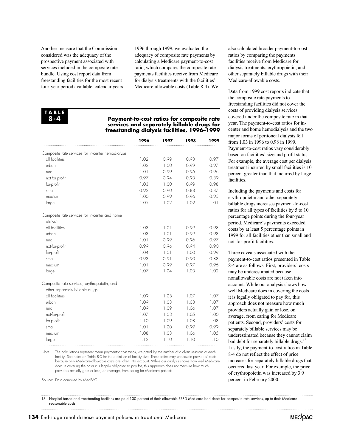Another measure that the Commission considered was the adequacy of the prospective payment associated with services included in the composite rate bundle. Using cost report data from freestanding facilities for the most recent four-year period available, calendar years

1996 through 1999, we evaluated the adequacy of composite rate payments by calculating a Medicare payment-to-cost ratio, which compares the composite rate payments facilities receive from Medicare for dialysis treatments with the facilities' Medicare-allowable costs (Table 8-4). We

#### **TABLE 8-4**

#### **Payment-to-cost ratios for composite rate services and separately billable drugs for freestanding dialysis facilities, 1996–1999**

|                                                    | 1996 | 1997 | 1998 | 1999 |
|----------------------------------------------------|------|------|------|------|
| Composite rate services for in-center hemodialysis |      |      |      |      |
| all facilities                                     | 1.02 | 0.99 | 0.98 | 0.97 |
| urban                                              | 1.02 | 1.00 | 0.99 | 0.97 |
| rural                                              | 1.01 | 0.99 | 0.96 | 0.96 |
| not-for-profit                                     | 0.97 | 0.94 | 0.93 | 0.89 |
| for-profit                                         | 1.03 | 1.00 | 0.99 | 0.98 |
| small                                              | 0.92 | 0.90 | 0.88 | 0.87 |
| medium                                             | 1.00 | 0.99 | 0.96 | 0.95 |
| large                                              | 1.05 | 1.02 | 1.02 | 1.01 |
| Composite rate services for in-center and home     |      |      |      |      |
| dialysis                                           |      |      |      |      |
| all facilities                                     | 1.03 | 1.01 | 0.99 | 0.98 |
| urban                                              | 1.03 | 1.01 | 0.99 | 0.98 |
| rural                                              | 1.01 | 0.99 | 0.96 | 0.97 |
| not-for-profit                                     | 0.99 | 0.96 | 0.94 | 0.90 |
| for-profit                                         | 1.04 | 1.01 | 1.00 | 0.99 |
| small                                              | 0.93 | 0.91 | 0.90 | 0.88 |
| medium                                             | 1.01 | 0.99 | 0.97 | 0.96 |
| large                                              | 1.07 | 1.04 | 1.03 | 1.02 |
| Composite rate services, erythropoietin, and       |      |      |      |      |
| other separately billable drugs                    |      |      |      |      |
| all facilities                                     | 1.09 | 1.08 | 1.07 | 1.07 |
| urban                                              | 1.09 | 1.08 | 1.08 | 1.07 |
| rural                                              | 1.09 | 1.09 | 1.06 | 1.07 |
| not-for-profit                                     | 1.07 | 1.03 | 1.05 | 1.00 |
| for-profit                                         | 1.10 | 1.09 | 1.08 | 1.08 |
| small                                              | 1.01 | 1.00 | 0.99 | 0.99 |
| medium                                             | 1.08 | 1.08 | 1.06 | 1.05 |
| large                                              | 1.12 | 1.10 | 1.10 | 1.10 |

Note: The calculations represent mean payment-to-cost ratios, weighted by the number of dialysis sessions at each because only Medicare-allowable costs are taken into account. While our analysis shows how well Medicare does in covering the costs it is legally obligated to pay for, this approach does not measure how much providers actually gain or lose, on average, from caring for Medicare patients. facility. See notes on Table 8-3 for the definition of facility size. These ratios may understate providers' costs

Source: Data compiled by MedPAC.

also calculated broader payment-to-cost ratios by comparing the payments facilities receive from Medicare for dialysis treatments, erythropoietin, and other separately billable drugs with their Medicare-allowable costs.

Data from 1999 cost reports indicate that the composite rate payments to freestanding facilities did not cover the costs of providing dialysis services covered under the composite rate in that year. The payment-to-cost ratios for incenter and home hemodialysis and the two major forms of peritoneal dialysis fell from 1.03 in 1996 to 0.98 in 1999. Payment-to-cost ratios vary considerably based on facilities' size and profit status. For example, the average cost per dialysis treatment incurred by small facilities is 10 percent greater than that incurred by large facilities.

Including the payments and costs for erythropoietin and other separately billable drugs increases payment-to-cost ratios for all types of facilities by 5 to 10 percentage points during the four-year period. Medicare's payments exceeded costs by at least 5 percentage points in 1999 for all facilities other than small and not-for-profit facilities.

Three caveats associated with the payment-to-cost ratios presented in Table 8-4 are as follows. First, providers' costs may be underestimated because nonallowable costs are not taken into account. While our analysis shows how well Medicare does in covering the costs it is legally obligated to pay for, this approach does not measure how much providers actually gain or lose, on average, from caring for Medicare patients. Second, providers' costs for separately billable services may be underestimated because they cannot claim bad debt for separately billable drugs.<sup>13</sup> Lastly, the payment-to-cost ratios in Table 8-4 do not reflect the effect of price increases for separately billable drugs that occurred last year. For example, the price of erythropoietin was increased by 3.9 percent in February 2000.

13 Hospital-based and freestanding facilities are paid 100 percent of their allowable ESRD Medicare bad debts for composite rate services, up to their Medicare reasonable costs.

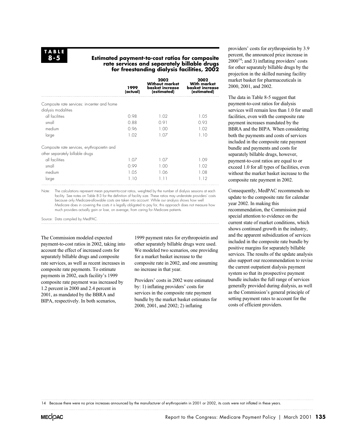#### **Estimated payment-to-cost ratios for composite rate services and separately billable drugs for freestanding dialysis facilities, 2002**

|                                             | 1999<br>(actual) | 2002<br>Without market<br>basket increase<br>(estimated) | 2002<br><b>With market</b><br><b>basket increase</b><br>(estimated) |
|---------------------------------------------|------------------|----------------------------------------------------------|---------------------------------------------------------------------|
| Composite rate services: in-center and home |                  |                                                          |                                                                     |
| dialysis modalities                         |                  |                                                          |                                                                     |
| all facilities                              | 0.98             | 1.02                                                     | 1.05                                                                |
| small                                       | 0.88             | 0.91                                                     | 0.93                                                                |
| medium                                      | 0.96             | 1.00                                                     | 1.02                                                                |
| large                                       | 1.02             | 1.07                                                     | 1.10                                                                |
| Composite rate services, erythropoietin and |                  |                                                          |                                                                     |
| other separately billable drugs             |                  |                                                          |                                                                     |
| all facilities                              | 1.07             | 1.07                                                     | 1.09                                                                |
| small                                       | 0.99             | 1.00                                                     | 1.02                                                                |
| medium                                      | 1.05             | 1.06                                                     | 1.08                                                                |
| large                                       | 1.10             | 1.11                                                     | 1.12                                                                |

Note: The calculations represent mean payment-to-cost ratios, weighted by the number of dialysis sessions at each because only Medicare-allowable costs are taken into account. While our analysis shows how well Medicare does in covering the costs it is legally obligated to pay for, this approach does not measure how much providers actually gain or lose, on average, from caring for Medicare patients. facility. See notes on Table 8-3 for the definition of facility size. These ratios may understate providers' costs

Source: Data compiled by MedPAC.

The Commission modeled expected payment-to-cost ratios in 2002, taking into account the effect of increased costs for separately billable drugs and composite rate services, as well as recent increases in composite rate payments. To estimate payments in 2002, each facility's 1999 composite rate payment was increased by 1.2 percent in 2000 and 2.4 percent in 2001, as mandated by the BBRA and BIPA, respectively. In both scenarios,

1999 payment rates for erythropoietin and other separately billable drugs were used. We modeled two scenarios, one providing for a market basket increase to the composite rate in 2002, and one assuming no increase in that year.

Providers' costs in 2002 were estimated by: 1) inflating providers' costs for services in the composite rate payment bundle by the market basket estimates for 2000, 2001, and 2002; 2) inflating

providers' costs for erythropoietin by 3.9 percent, the announced price increase in  $2000^{14}$ ; and 3) inflating providers' costs for other separately billable drugs by the projection in the skilled nursing facility market basket for pharmaceuticals in 2000, 2001, and 2002.

The data in Table 8-5 suggest that payment-to-cost ratios for dialysis services will remain less than 1.0 for small facilities, even with the composite rate payment increases mandated by the BBRA and the BIPA. When considering both the payments and costs of services included in the composite rate payment bundle and payments and costs for separately billable drugs, however, payment-to-cost ratios are equal to or exceed 1.0 for all types of facilities, even without the market basket increase to the composite rate payment in 2002.

Consequently, MedPAC recommends no update to the composite rate for calendar year 2002. In making this recommendation, the Commission paid special attention to evidence on the current state of market conditions, which shows continued growth in the industry, and the apparent subsidization of services included in the composite rate bundle by positive margins for separately billable services. The results of the update analysis also support our recommendation to revise the current outpatient dialysis payment system so that its prospective payment bundle includes the full range of services generally provided during dialysis, as well as the Commission's general principle of setting payment rates to account for the costs of efficient providers.

14 Because there were no price increases announced by the manufacturer of erythropoietin in 2001 or 2002, its costs were not inflated in these years.

**MECOAC**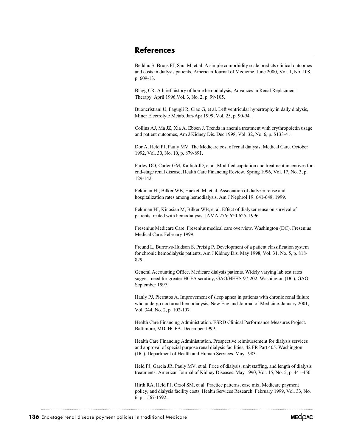### **References**

Beddhu S, Bruns FJ, Saul M, et al. A simple comorbidity scale predicts clinical outcomes and costs in dialysis patients, American Journal of Medicine. June 2000, Vol. 1, No. 108, p. 609-13.

Blagg CR. A brief history of home hemodialysis, Advances in Renal Replacment Therapy. April 1996,Vol. 3, No. 2, p. 99-105.

Buoncristiani U, Fagugli R, Ciao G, et al. Left ventricular hypertrophy in daily dialysis, Miner Electrolyte Metab. Jan-Apr 1999, Vol. 25, p. 90-94.

Collins AJ, Ma JZ, Xia A, Ebben J. Trends in anemia treatment with erythropoietin usage and patient outcomes, Am J Kidney Dis. Dec 1998, Vol. 32, No. 6, p. S133-41.

Dor A, Held PJ, Pauly MV. The Medicare cost of renal dialysis, Medical Care. October 1992, Vol. 30, No. 10, p. 879-891.

Farley DO, Carter GM, Kallich JD, et al. Modified capitation and treatment incentives for end-stage renal disease, Health Care Financing Review. Spring 1996, Vol. 17, No. 3, p. 129-142.

Feldman HI, Bilker WB, Hackett M, et al. Association of dialyzer reuse and hospitalization rates among hemodialysis. Am J Nephrol 19: 641-648, 1999.

Feldman HI, Kinosian M, Bilker WB, et al. Effect of dialyzer reuse on survival of patients treated with hemodialysis. JAMA 276: 620-625, 1996.

Fresenius Medicare Care. Fresenius medical care overview. Washington (DC), Fresenius Medical Care. February 1999.

Freund L, Burrows-Hudson S, Preisig P. Development of a patient classification system for chronic hemodialysis patients, Am J Kidney Dis. May 1998, Vol. 31, No. 5, p. 818- 829.

General Accounting Office. Medicare dialysis patients. Widely varying lab test rates suggest need for greater HCFA scrutiny, GAO/HEHS-97-202. Washington (DC), GAO. September 1997.

Hanly PJ, Pierratos A. Improvement of sleep apnea in patients with chronic renal failure who undergo nocturnal hemodialysis, New England Journal of Medicine. January 2001, Vol. 344, No. 2, p. 102-107.

Health Care Financing Administration. ESRD Clinical Performance Measures Project. Baltimore, MD, HCFA. December 1999.

Health Care Financing Administration. Prospective reimbursement for dialysis services and approval of special purpose renal dialysis facilities, 42 FR Part 405. Washington (DC), Department of Health and Human Services. May 1983.

Held PJ, Garcia JR, Pauly MV, et al. Price of dialysis, unit staffing, and length of dialysis treatments: American Journal of Kidney Diseases. May 1990, Vol. 15, No. 5, p. 441-450.

Hirth RA, Held PJ, Orzol SM, et al. Practice patterns, case mix, Medicare payment policy, and dialysis facility costs, Health Services Research. February 1999, Vol. 33, No. 6, p. 1567-1592.

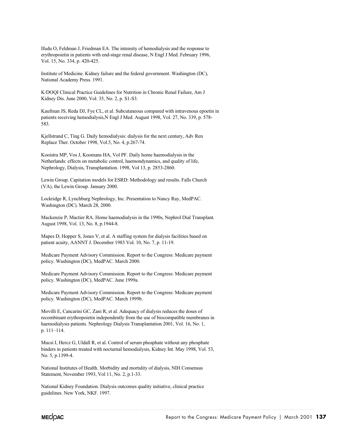Ifudu O, Feldman J, Friedman EA. The intensity of hemodialysis and the response to erythropoietin in patients with end-stage renal disease, N Engl J Med. February 1996, Vol. 15, No. 334, p. 420-425.

Institute of Medicine. Kidney failure and the federal government. Washington (DC), National Academy Press. 1991.

K/DOQI Clinical Practice Guidelines for Nutrition in Chronic Renal Failure, Am J Kidney Dis. June 2000, Vol. 35, No. 2, p. S1-S3.

Kaufman JS, Reda DJ, Fye CL, et al. Subcutaneous compared with intravenous epoetin in patients receiving hemodialysis,N Engl J Med. August 1998, Vol. 27, No. 339, p. 578- 583.

Kjellstrand C, Ting G. Daily hemodialysis: dialysis for the next century, Adv Ren Replace Ther. October 1998, Vol.5, No. 4, p.267-74.

Kooistra MP, Vos J, Koomans HA, Vol PF. Daily home haemodialysis in the Netherlands: effects on metabolic control, haemondynamics, and quality of life, Nephrology, Dialysis, Transplantation. 1998, Vol 13, p. 2853-2860.

Lewin Group. Capitation models for ESRD: Methodology and results. Falls Church (VA), the Lewin Group. January 2000.

Lockridge R, Lynchburg Nephrology, Inc. Presentation to Nancy Ray, MedPAC. Washington (DC). March 28, 2000.

Mackenzie P, Mactier RA. Home haemodialysis in the 1990s, Nephrol Dial Transplant. August 1998, Vol. 13, No. 8, p.1944-8.

Mapes D, Hopper S, Jones V, et al. A staffing system for dialysis facilities based on patient acuity, AANNT J. December 1983 Vol. 10, No. 7, p. 11-19.

Medicare Payment Advisory Commission. Report to the Congress: Medicare payment policy. Washington (DC), MedPAC. March 2000.

Medicare Payment Advisory Commission. Report to the Congress: Medicare payment policy. Washington (DC), MedPAC. June 1999a.

Medicare Payment Advisory Commission. Report to the Congress: Medicare payment policy. Washington (DC), MedPAC. March 1999b.

Movilli E, Cancarini GC, Zani R, et al. Adequacy of dialysis reduces the doses of recombinant erythropoietin independently from the use of biocompatible membranes in haemodialysis patients. Nephrology Dialysis Transplantation 2001, Vol. 16, No. 1, p. 111–114.

Mucsi I, Hercz G, Uldall R, et al. Control of serum phosphate without any phosphate binders in patients treated with nocturnal hemodialysis, Kidney Int. May 1998, Vol. 53, No. 5, p.1399-4.

National Institutes of Health. Morbidity and mortality of dialysis, NIH Consensus Statement, November 1993, Vol 11, No. 2, p.1-33.

National Kidney Foundation. Dialysis outcomes quality initiative, clinical practice guidelines. New York, NKF. 1997.